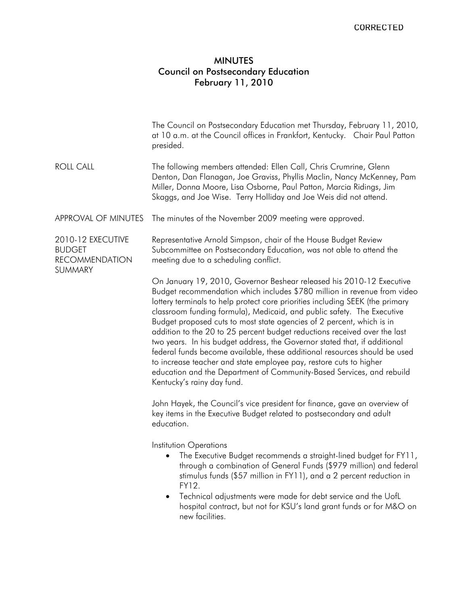## MINUTES Council on Postsecondary Education February 11, 2010

|                                                                        | The Council on Postsecondary Education met Thursday, February 11, 2010,<br>at 10 a.m. at the Council offices in Frankfort, Kentucky. Chair Paul Patton<br>presided.                                                                                                                                                                                                                                                                                                                                                                                                                                                                                                                                                                                                                                      |
|------------------------------------------------------------------------|----------------------------------------------------------------------------------------------------------------------------------------------------------------------------------------------------------------------------------------------------------------------------------------------------------------------------------------------------------------------------------------------------------------------------------------------------------------------------------------------------------------------------------------------------------------------------------------------------------------------------------------------------------------------------------------------------------------------------------------------------------------------------------------------------------|
| <b>ROLL CALL</b>                                                       | The following members attended: Ellen Call, Chris Crumrine, Glenn<br>Denton, Dan Flanagan, Joe Graviss, Phyllis Maclin, Nancy McKenney, Pam<br>Miller, Donna Moore, Lisa Osborne, Paul Patton, Marcia Ridings, Jim<br>Skaggs, and Joe Wise. Terry Holliday and Joe Weis did not attend.                                                                                                                                                                                                                                                                                                                                                                                                                                                                                                                  |
| APPROVAL OF MINUTES                                                    | The minutes of the November 2009 meeting were approved.                                                                                                                                                                                                                                                                                                                                                                                                                                                                                                                                                                                                                                                                                                                                                  |
| 2010-12 EXECUTIVE<br><b>BUDGET</b><br><b>RECOMMENDATION</b><br>SUMMARY | Representative Arnold Simpson, chair of the House Budget Review<br>Subcommittee on Postsecondary Education, was not able to attend the<br>meeting due to a scheduling conflict.                                                                                                                                                                                                                                                                                                                                                                                                                                                                                                                                                                                                                          |
|                                                                        | On January 19, 2010, Governor Beshear released his 2010-12 Executive<br>Budget recommendation which includes \$780 million in revenue from video<br>lottery terminals to help protect core priorities including SEEK (the primary<br>classroom funding formula), Medicaid, and public safety. The Executive<br>Budget proposed cuts to most state agencies of 2 percent, which is in<br>addition to the 20 to 25 percent budget reductions received over the last<br>two years. In his budget address, the Governor stated that, if additional<br>federal funds become available, these additional resources should be used<br>to increase teacher and state employee pay, restore cuts to higher<br>education and the Department of Community-Based Services, and rebuild<br>Kentucky's rainy day fund. |
|                                                                        | John Hayek, the Council's vice president for finance, gave an overview of<br>key items in the Executive Budget related to postsecondary and adult<br>education.                                                                                                                                                                                                                                                                                                                                                                                                                                                                                                                                                                                                                                          |
|                                                                        | Institution Operations<br>The Executive Budget recommends a straight-lined budget for FY11,<br>$\bullet$<br>through a combination of General Funds (\$979 million) and federal<br>stimulus funds (\$57 million in FY11), and a 2 percent reduction in<br>FY12.<br>Technical adjustments were made for debt service and the UofL<br>$\bullet$<br>hospital contract, but not for KSU's land grant funds or for M&O on<br>new facilities.                                                                                                                                                                                                                                                                                                                                                                   |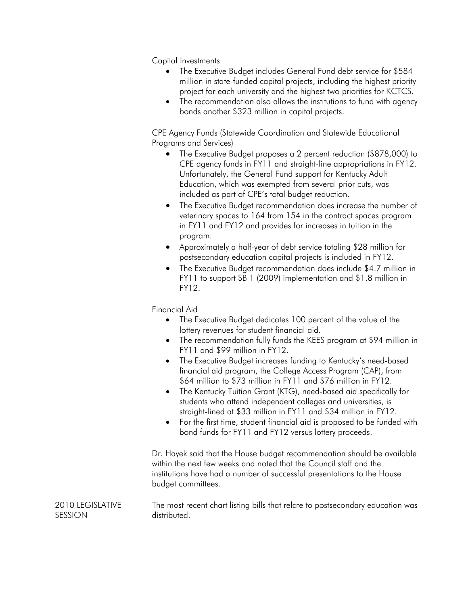Capital Investments

- The Executive Budget includes General Fund debt service for \$584 million in state-funded capital projects, including the highest priority project for each university and the highest two priorities for KCTCS.
- The recommendation also allows the institutions to fund with agency bonds another \$323 million in capital projects.

CPE Agency Funds (Statewide Coordination and Statewide Educational Programs and Services)

- The Executive Budget proposes a 2 percent reduction (\$878,000) to CPE agency funds in FY11 and straight-line appropriations in FY12. Unfortunately, the General Fund support for Kentucky Adult Education, which was exempted from several prior cuts, was included as part of CPE's total budget reduction.
- The Executive Budget recommendation does increase the number of veterinary spaces to 164 from 154 in the contract spaces program in FY11 and FY12 and provides for increases in tuition in the program.
- Approximately a half-year of debt service totaling \$28 million for postsecondary education capital projects is included in FY12.
- The Executive Budget recommendation does include \$4.7 million in FY11 to support SB 1 (2009) implementation and \$1.8 million in FY12.

Financial Aid

- The Executive Budget dedicates 100 percent of the value of the lottery revenues for student financial aid.
- The recommendation fully funds the KEES program at \$94 million in FY11 and \$99 million in FY12.
- The Executive Budget increases funding to Kentucky's need-based financial aid program, the College Access Program (CAP), from \$64 million to \$73 million in FY11 and \$76 million in FY12.
- The Kentucky Tuition Grant (KTG), need-based aid specifically for students who attend independent colleges and universities, is straight-lined at \$33 million in FY11 and \$34 million in FY12.
- For the first time, student financial aid is proposed to be funded with bond funds for FY11 and FY12 versus lottery proceeds.

Dr. Hayek said that the House budget recommendation should be available within the next few weeks and noted that the Council staff and the institutions have had a number of successful presentations to the House budget committees.

2010 LEGISLATIVE SESSION The most recent chart listing bills that relate to postsecondary education was distributed.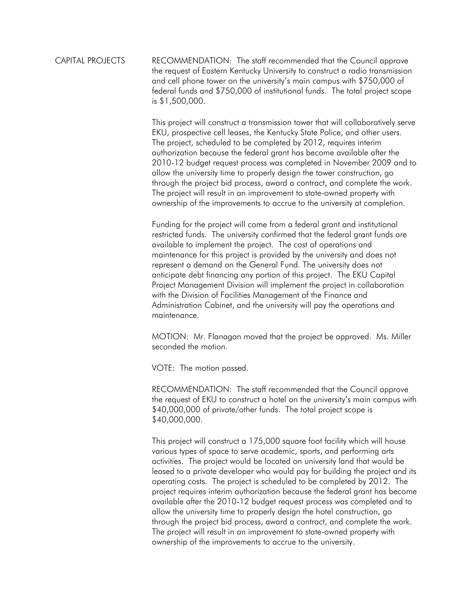CAPITAL PROJECTS RECOMMENDATION: The staff recommended that the Council approve the request of Eastern Kentucky University to construct a radio transmission and cell phone tower on the university's main campus with \$750,000 of federal funds and \$750,000 of institutional funds. The total project scope is \$1,500,000.

> This project will construct a transmission tower that will collaboratively serve EKU, prospective cell leases, the Kentucky State Police, and other users. The project, scheduled to be completed by 2012, requires interim authorization because the federal grant has become available after the 2010-12 budget request process was completed in November 2009 and to allow the university time to properly design the tower construction, go through the project bid process, award a contract, and complete the work. The project will result in an improvement to state-owned property with ownership of the improvements to accrue to the university at completion.

Funding for the project will come from a federal grant and institutional restricted funds. The university confirmed that the federal grant funds are available to implement the project. The cost of operations and maintenance for this project is provided by the university and does not represent a demand on the General Fund. The university does not anticipate debt financing any portion of this project. The EKU Capital Project Management Division will implement the project in collaboration with the Division of Facilities Management of the Finance and Administration Cabinet, and the university will pay the operations and maintenance.

MOTION: Mr. Flanagan moved that the project be approved. Ms. Miller seconded the motion.

VOTE: The motion passed.

RECOMMENDATION: The staff recommended that the Council approve the request of EKU to construct a hotel on the university's main campus with \$40,000,000 of private/other funds. The total project scope is \$40,000,000.

This project will construct a 175,000 square foot facility which will house various types of space to serve academic, sports, and performing arts activities. The project would be located on university land that would be leased to a private developer who would pay for building the project and its operating costs. The project is scheduled to be completed by 2012. The project requires interim authorization because the federal grant has become available after the 2010-12 budget request process was completed and to allow the university time to properly design the hotel construction, go through the project bid process, award a contract, and complete the work. The project will result in an improvement to state-owned property with ownership of the improvements to accrue to the university.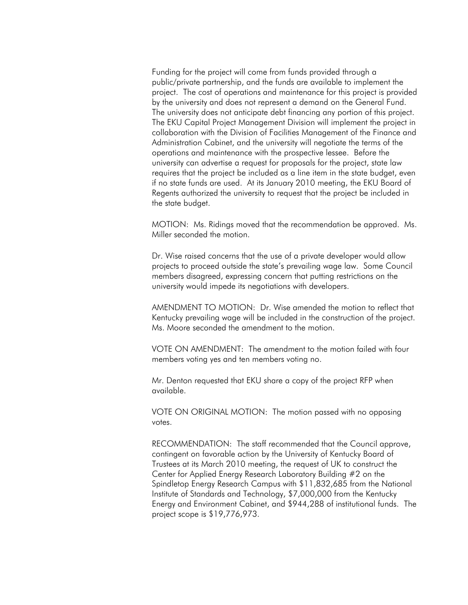Funding for the project will come from funds provided through a public/private partnership, and the funds are available to implement the project. The cost of operations and maintenance for this project is provided by the university and does not represent a demand on the General Fund. The university does not anticipate debt financing any portion of this project. The EKU Capital Project Management Division will implement the project in collaboration with the Division of Facilities Management of the Finance and Administration Cabinet, and the university will negotiate the terms of the operations and maintenance with the prospective lessee. Before the university can advertise a request for proposals for the project, state law requires that the project be included as a line item in the state budget, even if no state funds are used. At its January 2010 meeting, the EKU Board of Regents authorized the university to request that the project be included in the state budget.

MOTION: Ms. Ridings moved that the recommendation be approved. Ms. Miller seconded the motion.

Dr. Wise raised concerns that the use of a private developer would allow projects to proceed outside the state's prevailing wage law. Some Council members disagreed, expressing concern that putting restrictions on the university would impede its negotiations with developers.

AMENDMENT TO MOTION: Dr. Wise amended the motion to reflect that Kentucky prevailing wage will be included in the construction of the project. Ms. Moore seconded the amendment to the motion.

VOTE ON AMENDMENT: The amendment to the motion failed with four members voting yes and ten members voting no.

Mr. Denton requested that EKU share a copy of the project RFP when available.

VOTE ON ORIGINAL MOTION: The motion passed with no opposing votes.

RECOMMENDATION: The staff recommended that the Council approve, contingent on favorable action by the University of Kentucky Board of Trustees at its March 2010 meeting, the request of UK to construct the Center for Applied Energy Research Laboratory Building #2 on the Spindletop Energy Research Campus with \$11,832,685 from the National Institute of Standards and Technology, \$7,000,000 from the Kentucky Energy and Environment Cabinet, and \$944,288 of institutional funds. The project scope is \$19,776,973.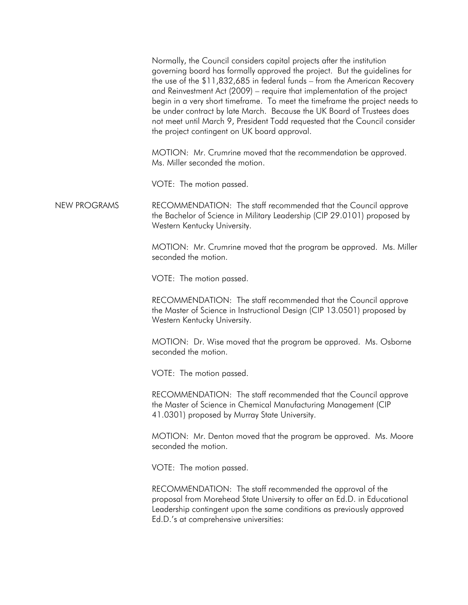Normally, the Council considers capital projects after the institution governing board has formally approved the project. But the guidelines for the use of the \$11,832,685 in federal funds – from the American Recovery and Reinvestment Act (2009) – require that implementation of the project begin in a very short timeframe. To meet the timeframe the project needs to be under contract by late March. Because the UK Board of Trustees does not meet until March 9, President Todd requested that the Council consider the project contingent on UK board approval.

MOTION: Mr. Crumrine moved that the recommendation be approved. Ms. Miller seconded the motion.

VOTE: The motion passed.

NEW PROGRAMS RECOMMENDATION: The staff recommended that the Council approve the Bachelor of Science in Military Leadership (CIP 29.0101) proposed by Western Kentucky University.

> MOTION: Mr. Crumrine moved that the program be approved. Ms. Miller seconded the motion.

VOTE: The motion passed.

RECOMMENDATION: The staff recommended that the Council approve the Master of Science in Instructional Design (CIP 13.0501) proposed by Western Kentucky University.

MOTION: Dr. Wise moved that the program be approved. Ms. Osborne seconded the motion.

VOTE: The motion passed.

RECOMMENDATION: The staff recommended that the Council approve the Master of Science in Chemical Manufacturing Management (CIP 41.0301) proposed by Murray State University.

MOTION: Mr. Denton moved that the program be approved. Ms. Moore seconded the motion.

VOTE: The motion passed.

RECOMMENDATION: The staff recommended the approval of the proposal from Morehead State University to offer an Ed.D. in Educational Leadership contingent upon the same conditions as previously approved Ed.D.'s at comprehensive universities: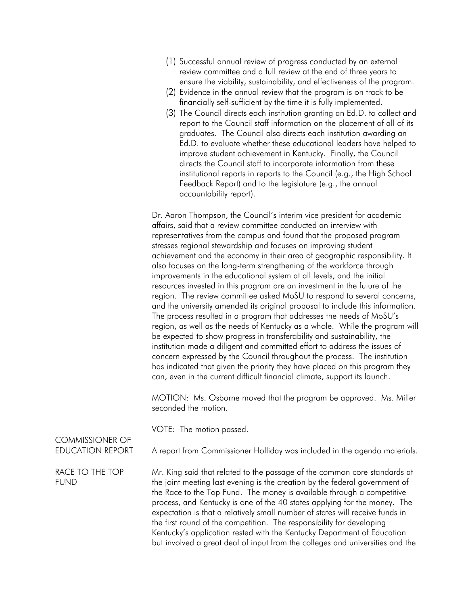- (1) Successful annual review of progress conducted by an external review committee and a full review at the end of three years to ensure the viability, sustainability, and effectiveness of the program.
- (2) Evidence in the annual review that the program is on track to be financially self-sufficient by the time it is fully implemented.
- (3) The Council directs each institution granting an Ed.D. to collect and report to the Council staff information on the placement of all of its graduates. The Council also directs each institution awarding an Ed.D. to evaluate whether these educational leaders have helped to improve student achievement in Kentucky. Finally, the Council directs the Council staff to incorporate information from these institutional reports in reports to the Council (e.g., the High School Feedback Report) and to the legislature (e.g., the annual accountability report).

Dr. Aaron Thompson, the Council's interim vice president for academic affairs, said that a review committee conducted an interview with representatives from the campus and found that the proposed program stresses regional stewardship and focuses on improving student achievement and the economy in their area of geographic responsibility. It also focuses on the long-term strengthening of the workforce through improvements in the educational system at all levels, and the initial resources invested in this program are an investment in the future of the region. The review committee asked MoSU to respond to several concerns, and the university amended its original proposal to include this information. The process resulted in a program that addresses the needs of MoSU's region, as well as the needs of Kentucky as a whole. While the program will be expected to show progress in transferability and sustainability, the institution made a diligent and committed effort to address the issues of concern expressed by the Council throughout the process. The institution has indicated that given the priority they have placed on this program they can, even in the current difficult financial climate, support its launch.

MOTION: Ms. Osborne moved that the program be approved. Ms. Miller seconded the motion.

VOTE: The motion passed.

COMMISSIONER OF

EDUCATION REPORT A report from Commissioner Holliday was included in the agenda materials.

RACE TO THE TOP FUND Mr. King said that related to the passage of the common core standards at the joint meeting last evening is the creation by the federal government of the Race to the Top Fund. The money is available through a competitive process, and Kentucky is one of the 40 states applying for the money. The expectation is that a relatively small number of states will receive funds in the first round of the competition. The responsibility for developing Kentucky's application rested with the Kentucky Department of Education but involved a great deal of input from the colleges and universities and the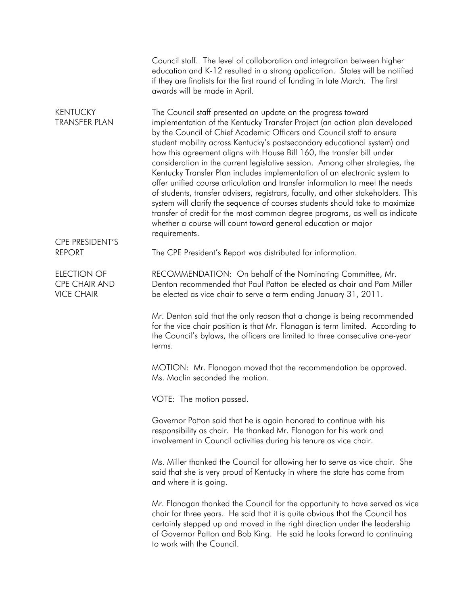|                                                                 | Council staff. The level of collaboration and integration between higher<br>education and K-12 resulted in a strong application. States will be notified<br>if they are finalists for the first round of funding in late March. The first<br>awards will be made in April.                                                                                                                                                                                                                                                                                                                                                                                                                                                                                                                                                                                                                                                                                   |
|-----------------------------------------------------------------|--------------------------------------------------------------------------------------------------------------------------------------------------------------------------------------------------------------------------------------------------------------------------------------------------------------------------------------------------------------------------------------------------------------------------------------------------------------------------------------------------------------------------------------------------------------------------------------------------------------------------------------------------------------------------------------------------------------------------------------------------------------------------------------------------------------------------------------------------------------------------------------------------------------------------------------------------------------|
| <b>KENTUCKY</b><br><b>TRANSFER PLAN</b>                         | The Council staff presented an update on the progress toward<br>implementation of the Kentucky Transfer Project (an action plan developed<br>by the Council of Chief Academic Officers and Council staff to ensure<br>student mobility across Kentucky's postsecondary educational system) and<br>how this agreement aligns with House Bill 160, the transfer bill under<br>consideration in the current legislative session. Among other strategies, the<br>Kentucky Transfer Plan includes implementation of an electronic system to<br>offer unified course articulation and transfer information to meet the needs<br>of students, transfer advisers, registrars, faculty, and other stakeholders. This<br>system will clarify the sequence of courses students should take to maximize<br>transfer of credit for the most common degree programs, as well as indicate<br>whether a course will count toward general education or major<br>requirements. |
| <b>CPE PRESIDENT'S</b><br><b>REPORT</b>                         | The CPE President's Report was distributed for information.                                                                                                                                                                                                                                                                                                                                                                                                                                                                                                                                                                                                                                                                                                                                                                                                                                                                                                  |
| <b>ELECTION OF</b><br><b>CPE CHAIR AND</b><br><b>VICE CHAIR</b> | RECOMMENDATION: On behalf of the Nominating Committee, Mr.<br>Denton recommended that Paul Patton be elected as chair and Pam Miller<br>be elected as vice chair to serve a term ending January 31, 2011.                                                                                                                                                                                                                                                                                                                                                                                                                                                                                                                                                                                                                                                                                                                                                    |
|                                                                 | Mr. Denton said that the only reason that a change is being recommended<br>for the vice chair position is that Mr. Flanagan is term limited. According to<br>the Council's bylaws, the officers are limited to three consecutive one-year<br>terms.                                                                                                                                                                                                                                                                                                                                                                                                                                                                                                                                                                                                                                                                                                          |
|                                                                 | MOTION: Mr. Flanagan moved that the recommendation be approved.<br>Ms. Maclin seconded the motion.                                                                                                                                                                                                                                                                                                                                                                                                                                                                                                                                                                                                                                                                                                                                                                                                                                                           |
|                                                                 | VOTE: The motion passed.                                                                                                                                                                                                                                                                                                                                                                                                                                                                                                                                                                                                                                                                                                                                                                                                                                                                                                                                     |
|                                                                 | Governor Patton said that he is again honored to continue with his<br>responsibility as chair. He thanked Mr. Flanagan for his work and<br>involvement in Council activities during his tenure as vice chair.                                                                                                                                                                                                                                                                                                                                                                                                                                                                                                                                                                                                                                                                                                                                                |
|                                                                 | Ms. Miller thanked the Council for allowing her to serve as vice chair. She<br>said that she is very proud of Kentucky in where the state has come from<br>and where it is going.                                                                                                                                                                                                                                                                                                                                                                                                                                                                                                                                                                                                                                                                                                                                                                            |
|                                                                 | Mr. Flanagan thanked the Council for the opportunity to have served as vice<br>chair for three years. He said that it is quite obvious that the Council has<br>certainly stepped up and moved in the right direction under the leadership<br>of Governor Patton and Bob King. He said he looks forward to continuing<br>to work with the Council.                                                                                                                                                                                                                                                                                                                                                                                                                                                                                                                                                                                                            |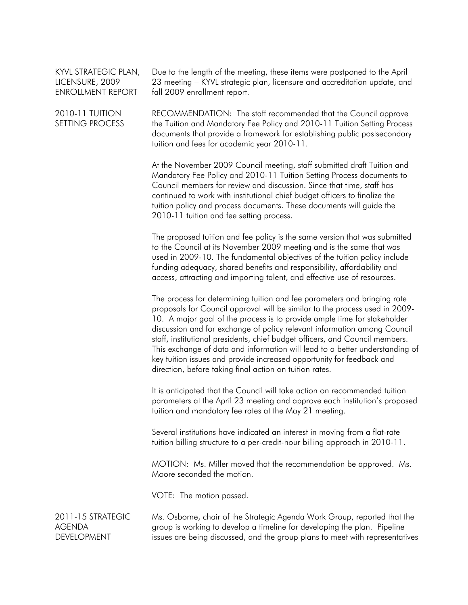| KYVL STRATEGIC PLAN, |
|----------------------|
| LICENSURE, 2009      |
| ENROLLMENT REPORT    |

Due to the length of the meeting, these items were postponed to the April 23 meeting – KYVL strategic plan, licensure and accreditation update, and fall 2009 enrollment report.

2010-11 TUITION SETTING PROCESS RECOMMENDATION: The staff recommended that the Council approve the Tuition and Mandatory Fee Policy and 2010-11 Tuition Setting Process documents that provide a framework for establishing public postsecondary tuition and fees for academic year 2010-11.

> At the November 2009 Council meeting, staff submitted draft Tuition and Mandatory Fee Policy and 2010-11 Tuition Setting Process documents to Council members for review and discussion. Since that time, staff has continued to work with institutional chief budget officers to finalize the tuition policy and process documents. These documents will guide the 2010-11 tuition and fee setting process.

The proposed tuition and fee policy is the same version that was submitted to the Council at its November 2009 meeting and is the same that was used in 2009-10. The fundamental objectives of the tuition policy include funding adequacy, shared benefits and responsibility, affordability and access, attracting and importing talent, and effective use of resources.

The process for determining tuition and fee parameters and bringing rate proposals for Council approval will be similar to the process used in 2009- 10. A major goal of the process is to provide ample time for stakeholder discussion and for exchange of policy relevant information among Council staff, institutional presidents, chief budget officers, and Council members. This exchange of data and information will lead to a better understanding of key tuition issues and provide increased opportunity for feedback and direction, before taking final action on tuition rates.

It is anticipated that the Council will take action on recommended tuition parameters at the April 23 meeting and approve each institution's proposed tuition and mandatory fee rates at the May 21 meeting.

Several institutions have indicated an interest in moving from a flat-rate tuition billing structure to a per-credit-hour billing approach in 2010-11.

MOTION: Ms. Miller moved that the recommendation be approved. Ms. Moore seconded the motion.

VOTE: The motion passed.

2011-15 STRATEGIC AGENDA DEVELOPMENT Ms. Osborne, chair of the Strategic Agenda Work Group, reported that the group is working to develop a timeline for developing the plan. Pipeline issues are being discussed, and the group plans to meet with representatives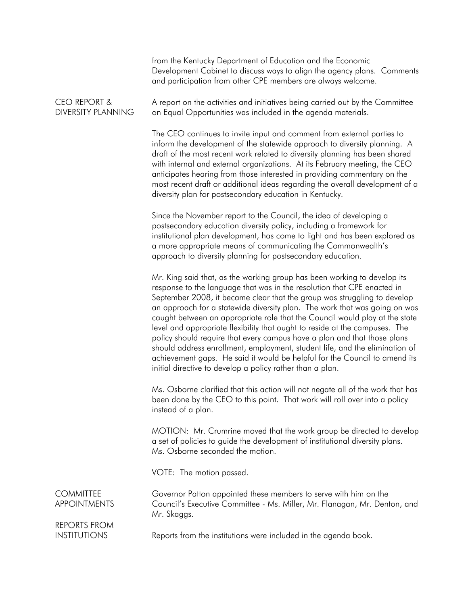|                                            | from the Kentucky Department of Education and the Economic<br>Development Cabinet to discuss ways to align the agency plans. Comments<br>and participation from other CPE members are always welcome.                                                                                                                                                                                                                                                                                                                                                                                                                                                                                                                                                                             |
|--------------------------------------------|-----------------------------------------------------------------------------------------------------------------------------------------------------------------------------------------------------------------------------------------------------------------------------------------------------------------------------------------------------------------------------------------------------------------------------------------------------------------------------------------------------------------------------------------------------------------------------------------------------------------------------------------------------------------------------------------------------------------------------------------------------------------------------------|
| CEO REPORT &<br><b>DIVERSITY PLANNING</b>  | A report on the activities and initiatives being carried out by the Committee<br>on Equal Opportunities was included in the agenda materials.                                                                                                                                                                                                                                                                                                                                                                                                                                                                                                                                                                                                                                     |
|                                            | The CEO continues to invite input and comment from external parties to<br>inform the development of the statewide approach to diversity planning. A<br>draft of the most recent work related to diversity planning has been shared<br>with internal and external organizations. At its February meeting, the CEO<br>anticipates hearing from those interested in providing commentary on the<br>most recent draft or additional ideas regarding the overall development of a<br>diversity plan for postsecondary education in Kentucky.                                                                                                                                                                                                                                           |
|                                            | Since the November report to the Council, the idea of developing a<br>postsecondary education diversity policy, including a framework for<br>institutional plan development, has come to light and has been explored as<br>a more appropriate means of communicating the Commonwealth's<br>approach to diversity planning for postsecondary education.                                                                                                                                                                                                                                                                                                                                                                                                                            |
|                                            | Mr. King said that, as the working group has been working to develop its<br>response to the language that was in the resolution that CPE enacted in<br>September 2008, it became clear that the group was struggling to develop<br>an approach for a statewide diversity plan. The work that was going on was<br>caught between an appropriate role that the Council would play at the state<br>level and appropriate flexibility that ought to reside at the campuses. The<br>policy should require that every campus have a plan and that those plans<br>should address enrollment, employment, student life, and the elimination of<br>achievement gaps. He said it would be helpful for the Council to amend its<br>initial directive to develop a policy rather than a plan. |
|                                            | Ms. Osborne clarified that this action will not negate all of the work that has<br>been done by the CEO to this point. That work will roll over into a policy<br>instead of a plan.                                                                                                                                                                                                                                                                                                                                                                                                                                                                                                                                                                                               |
|                                            | MOTION: Mr. Crumrine moved that the work group be directed to develop<br>a set of policies to guide the development of institutional diversity plans.<br>Ms. Osborne seconded the motion.                                                                                                                                                                                                                                                                                                                                                                                                                                                                                                                                                                                         |
|                                            | VOTE: The motion passed.                                                                                                                                                                                                                                                                                                                                                                                                                                                                                                                                                                                                                                                                                                                                                          |
| <b>COMMITTEE</b><br><b>APPOINTMENTS</b>    | Governor Patton appointed these members to serve with him on the<br>Council's Executive Committee - Ms. Miller, Mr. Flanagan, Mr. Denton, and<br>Mr. Skaggs.                                                                                                                                                                                                                                                                                                                                                                                                                                                                                                                                                                                                                      |
| <b>REPORTS FROM</b><br><b>INSTITUTIONS</b> | Reports from the institutions were included in the agenda book.                                                                                                                                                                                                                                                                                                                                                                                                                                                                                                                                                                                                                                                                                                                   |